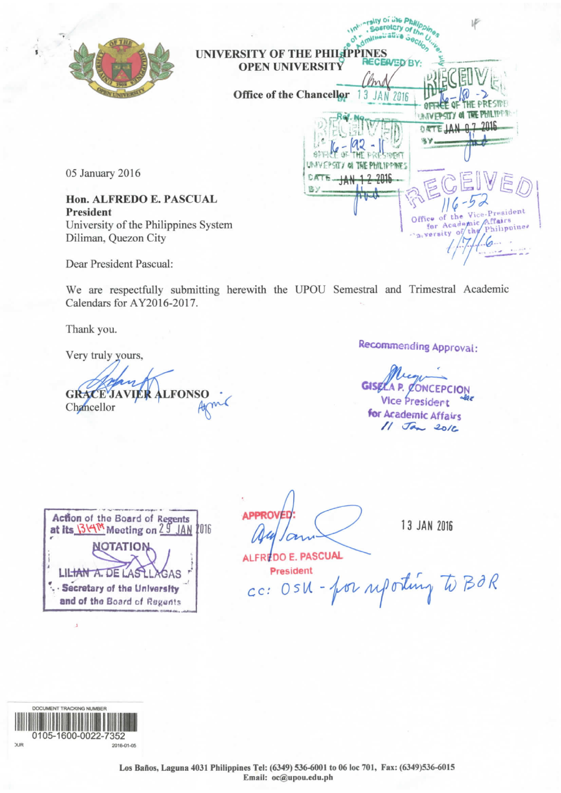

We are respectfully submitting herewith the UPOU Semestral and Trimestral Academic Calendars for AY2016-2017.

Thank you.

Very truly yours,

**GRACE JAVIER ALFONSO** Chancellor

Recommending Approval:

**Vice President** for Academic Affairs  $11$  Jan 2016

| Action of the Board of Regents<br>at its <b>SYAM</b> Meeting on 29 JAN | 16 |
|------------------------------------------------------------------------|----|
| <b>NOTATION</b>                                                        |    |
| LIL <del>IAN A. DE LAS LLAG</del> AS<br>. Secretary of the University  |    |
| and of the Board of Regents                                            |    |

**APPROV** 

13 JAN 2016

ALFREDO E. PASCUAL President

CC: OSU - for uporting to BOR

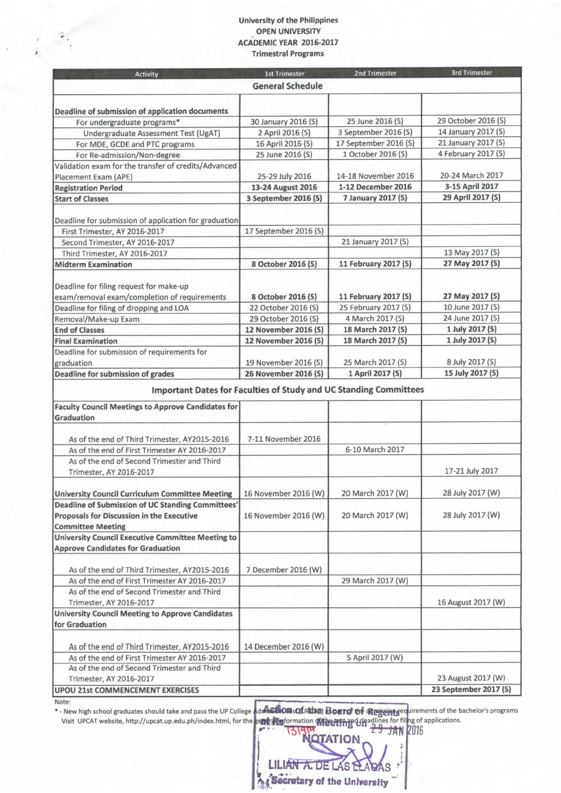## **University of the Philippines OPEN UNIVERSITY ACADEMIC YEAR 2016-2017 Trimestral Programs**

| <b>Activity</b>                                                                              | <b>1st Trimester</b>    | <b>2nd Trimester</b>                                                     | <b>3rd Trimester</b>  |
|----------------------------------------------------------------------------------------------|-------------------------|--------------------------------------------------------------------------|-----------------------|
|                                                                                              | <b>General Schedule</b> |                                                                          |                       |
|                                                                                              |                         |                                                                          |                       |
| Deadline of submission of application documents                                              |                         |                                                                          |                       |
| For undergraduate programs*                                                                  | 30 January 2016 (S)     | 25 June 2016 (S)                                                         | 29 October 2016 (S)   |
| Undergraduate Assessment Test (UgAT)                                                         | 2 April 2016 (S)        | 3 September 2016 (S)                                                     | 14 January 2017 (S)   |
| For MDE, GCDE and PTC programs                                                               | 16 April 2016 (S)       | 17 September 2016 (S)                                                    | 21 January 2017 (S)   |
| For Re-admission/Non-degree                                                                  | 25 June 2016 (S)        | 1 October 2016 (S)                                                       | 4 February 2017 (S)   |
| Validation exam for the transfer of credits/Advanced                                         |                         |                                                                          |                       |
| Placement Exam (APE)                                                                         | 25-29 July 2016         | 14-18 November 2016                                                      | 20-24 March 2017      |
| <b>Registration Period</b>                                                                   | 13-24 August 2016       | 1-12 December 2016                                                       | 3-15 April 2017       |
| <b>Start of Classes</b>                                                                      | 3 September 2016 (S)    | 7 January 2017 (S)                                                       | 29 April 2017 (S)     |
|                                                                                              |                         |                                                                          |                       |
| Deadline for submission of application for graduation                                        |                         |                                                                          |                       |
| First Trimester, AY 2016-2017                                                                | 17 September 2016 (S)   |                                                                          |                       |
| Second Trimester, AY 2016-2017                                                               |                         | 21 January 2017 (S)                                                      |                       |
| Third Trimester, AY 2016-2017                                                                |                         |                                                                          | 13 May 2017 (S)       |
| <b>Midterm Examination</b>                                                                   | 8 October 2016 (S)      | 11 February 2017 (S)                                                     | 27 May 2017 (S)       |
|                                                                                              |                         |                                                                          |                       |
| Deadline for filing request for make-up                                                      |                         |                                                                          |                       |
| exam/removal exam/completion of requirements                                                 | 8 October 2016 (S)      | 11 February 2017 (S)                                                     | 27 May 2017 (S)       |
| Deadline for filing of dropping and LOA                                                      | 22 October 2016 (S)     | 25 February 2017 (S)                                                     | 10 June 2017 (S)      |
| Removal/Make-up Exam                                                                         | 29 October 2016 (S)     | 4 March 2017 (S)                                                         | 24 June 2017 (S)      |
| <b>End of Classes</b>                                                                        | 12 November 2016 (S)    | 18 March 2017 (S)                                                        | 1 July 2017 (S)       |
| <b>Final Examination</b>                                                                     | 12 November 2016 (S)    | 18 March 2017 (S)                                                        | 1 July 2017 (S)       |
| Deadline for submission of requirements for                                                  |                         |                                                                          |                       |
| graduation                                                                                   | 19 November 2016 (S)    | 25 March 2017 (S)                                                        | 8 July 2017 (S)       |
| Deadline for submission of grades                                                            | 26 November 2016 (S)    | 1 April 2017 (S)                                                         | 15 July 2017 (S)      |
|                                                                                              |                         |                                                                          |                       |
|                                                                                              |                         | <b>Important Dates for Faculties of Study and UC Standing Committees</b> |                       |
| <b>Faculty Council Meetings to Approve Candidates for</b>                                    |                         |                                                                          |                       |
| Graduation                                                                                   |                         |                                                                          |                       |
|                                                                                              |                         |                                                                          |                       |
| As of the end of Third Trimester, AY2015-2016                                                | 7-11 November 2016      |                                                                          |                       |
| As of the end of First Trimester AY 2016-2017                                                |                         | 6-10 March 2017                                                          |                       |
| As of the end of Second Trimester and Third                                                  |                         |                                                                          |                       |
| Trimester, AY 2016-2017                                                                      |                         |                                                                          | 17-21 July 2017       |
|                                                                                              |                         |                                                                          |                       |
| University Council Curriculum Committee Meeting                                              | 16 November 2016 (W)    | 20 March 2017 (W)                                                        | 28 July 2017 (W)      |
| Deadline of Submission of UC Standing Committees'                                            |                         |                                                                          |                       |
| Proposals for Discussion in the Executive                                                    | 16 November 2016 (W)    | 20 March 2017 (W)                                                        | 28 July 2017 (W)      |
| <b>Committee Meeting</b>                                                                     |                         |                                                                          |                       |
| University Council Executive Committee Meeting to                                            |                         |                                                                          |                       |
| <b>Approve Candidates for Graduation</b>                                                     |                         |                                                                          |                       |
|                                                                                              |                         |                                                                          |                       |
| As of the end of Third Trimester, AY2015-2016                                                | 7 December 2016 (W)     |                                                                          |                       |
| As of the end of First Trimester AY 2016-2017                                                |                         | 29 March 2017 (W)                                                        |                       |
| As of the end of Second Trimester and Third                                                  |                         |                                                                          |                       |
| Trimester, AY 2016-2017                                                                      |                         |                                                                          | 16 August 2017 (W)    |
| University Council Meeting to Approve Candidates                                             |                         |                                                                          |                       |
| for Graduation                                                                               |                         |                                                                          |                       |
|                                                                                              |                         |                                                                          |                       |
| As of the end of Third Trimester, AY2015-2016                                                | 14 December 2016 (W)    |                                                                          |                       |
| As of the end of First Trimester AY 2016-2017<br>As of the end of Second Trimester and Third |                         | 5 April 2017 (W)                                                         |                       |
|                                                                                              |                         |                                                                          | 23 August 2017 (W)    |
| Trimester, AY 2016-2017                                                                      |                         |                                                                          | 23 September 2017 (S) |
| <b>UPOU 21st COMMENCEMENT EXERCISES</b>                                                      |                         |                                                                          |                       |

**Note:** 

**• - New high school graduates should take and pass the UP College Visit UPCAT website, http://upcat.up.edu.ph/index.html, for the**  dr**instricts of Littler Board tik Regissing coverses of the bachelor's programs adlinesforfil ig of applications.**